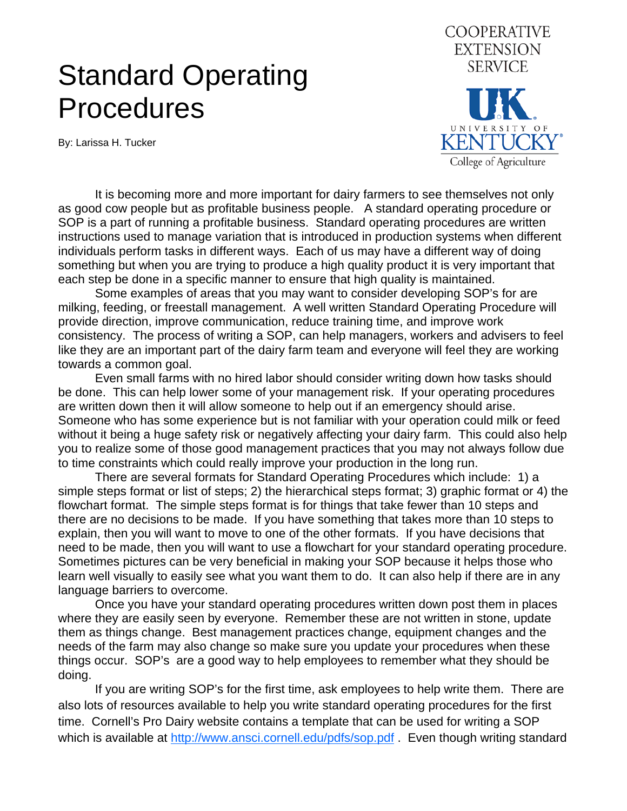## Standard Operating **Procedures**

By: Larissa H. Tucker



 It is becoming more and more important for dairy farmers to see themselves not only as good cow people but as profitable business people. A standard operating procedure or SOP is a part of running a profitable business. Standard operating procedures are written instructions used to manage variation that is introduced in production systems when different individuals perform tasks in different ways. Each of us may have a different way of doing something but when you are trying to produce a high quality product it is very important that each step be done in a specific manner to ensure that high quality is maintained.

 Some examples of areas that you may want to consider developing SOP's for are milking, feeding, or freestall management. A well written Standard Operating Procedure will provide direction, improve communication, reduce training time, and improve work consistency. The process of writing a SOP, can help managers, workers and advisers to feel like they are an important part of the dairy farm team and everyone will feel they are working towards a common goal.

 Even small farms with no hired labor should consider writing down how tasks should be done. This can help lower some of your management risk. If your operating procedures are written down then it will allow someone to help out if an emergency should arise. Someone who has some experience but is not familiar with your operation could milk or feed without it being a huge safety risk or negatively affecting your dairy farm. This could also help you to realize some of those good management practices that you may not always follow due to time constraints which could really improve your production in the long run.

 There are several formats for Standard Operating Procedures which include: 1) a simple steps format or list of steps; 2) the hierarchical steps format; 3) graphic format or 4) the flowchart format. The simple steps format is for things that take fewer than 10 steps and there are no decisions to be made. If you have something that takes more than 10 steps to explain, then you will want to move to one of the other formats. If you have decisions that need to be made, then you will want to use a flowchart for your standard operating procedure. Sometimes pictures can be very beneficial in making your SOP because it helps those who learn well visually to easily see what you want them to do. It can also help if there are in any language barriers to overcome.

 Once you have your standard operating procedures written down post them in places where they are easily seen by everyone. Remember these are not written in stone, update them as things change. Best management practices change, equipment changes and the needs of the farm may also change so make sure you update your procedures when these things occur. SOP's are a good way to help employees to remember what they should be doing.

 If you are writing SOP's for the first time, ask employees to help write them. There are also lots of resources available to help you write standard operating procedures for the first time. Cornell's Pro Dairy website contains a template that can be used for writing a SOP which is available at [http://www.ansci.cornell.edu/pdfs/sop.pdf .](http://www.ansci.cornell.edu/pdfs/sop.pdf) Even though writing standard